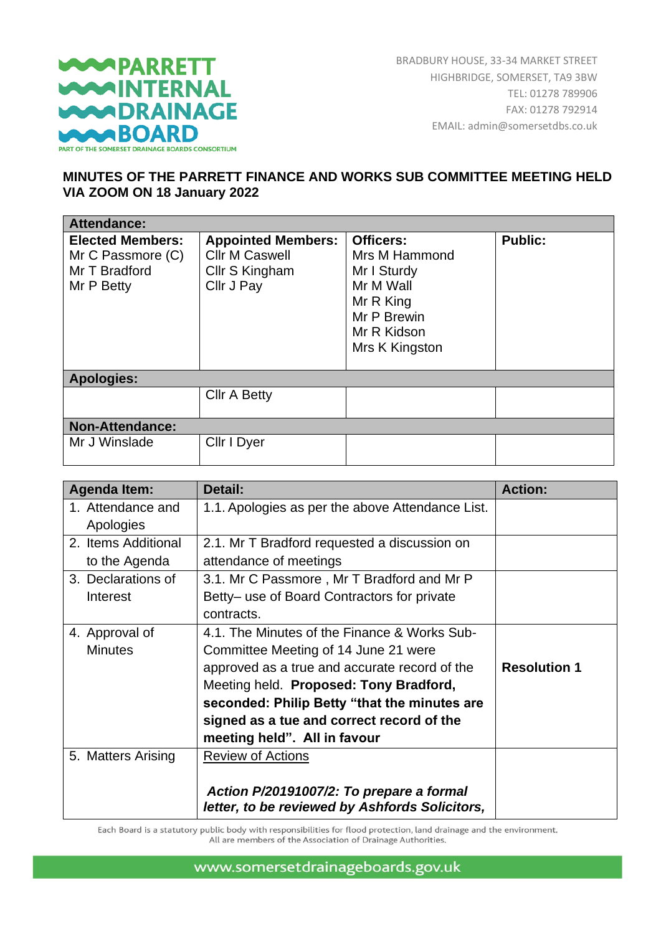

## **MINUTES OF THE PARRETT FINANCE AND WORKS SUB COMMITTEE MEETING HELD VIA ZOOM ON 18 January 2022**

| <b>Attendance:</b>                                                          |                                                                                    |                                                                                                                            |                |
|-----------------------------------------------------------------------------|------------------------------------------------------------------------------------|----------------------------------------------------------------------------------------------------------------------------|----------------|
| <b>Elected Members:</b><br>Mr C Passmore (C)<br>Mr T Bradford<br>Mr P Betty | <b>Appointed Members:</b><br><b>Cllr M Caswell</b><br>Cllr S Kingham<br>Cllr J Pay | <b>Officers:</b><br>Mrs M Hammond<br>Mr I Sturdy<br>Mr M Wall<br>Mr R King<br>Mr P Brewin<br>Mr R Kidson<br>Mrs K Kingston | <b>Public:</b> |
| <b>Apologies:</b>                                                           |                                                                                    |                                                                                                                            |                |
|                                                                             | <b>Cllr A Betty</b>                                                                |                                                                                                                            |                |
| <b>Non-Attendance:</b>                                                      |                                                                                    |                                                                                                                            |                |
| Mr J Winslade                                                               | Cllr I Dyer                                                                        |                                                                                                                            |                |

| <b>Agenda Item:</b> | Detail:                                                                                    | <b>Action:</b>      |
|---------------------|--------------------------------------------------------------------------------------------|---------------------|
| 1. Attendance and   | 1.1. Apologies as per the above Attendance List.                                           |                     |
| Apologies           |                                                                                            |                     |
| 2. Items Additional | 2.1. Mr T Bradford requested a discussion on                                               |                     |
| to the Agenda       | attendance of meetings                                                                     |                     |
| 3. Declarations of  | 3.1. Mr C Passmore, Mr T Bradford and Mr P                                                 |                     |
| Interest            | Betty- use of Board Contractors for private                                                |                     |
|                     | contracts.                                                                                 |                     |
| 4. Approval of      | 4.1. The Minutes of the Finance & Works Sub-                                               |                     |
| <b>Minutes</b>      | Committee Meeting of 14 June 21 were                                                       |                     |
|                     | approved as a true and accurate record of the                                              | <b>Resolution 1</b> |
|                     | Meeting held. Proposed: Tony Bradford,                                                     |                     |
|                     | seconded: Philip Betty "that the minutes are                                               |                     |
|                     | signed as a tue and correct record of the                                                  |                     |
|                     | meeting held". All in favour                                                               |                     |
| 5. Matters Arising  | <b>Review of Actions</b>                                                                   |                     |
|                     | Action P/20191007/2: To prepare a formal<br>letter, to be reviewed by Ashfords Solicitors, |                     |

Each Board is a statutory public body with responsibilities for flood protection, land drainage and the environment. All are members of the Association of Drainage Authorities.

www.somersetdrainageboards.gov.uk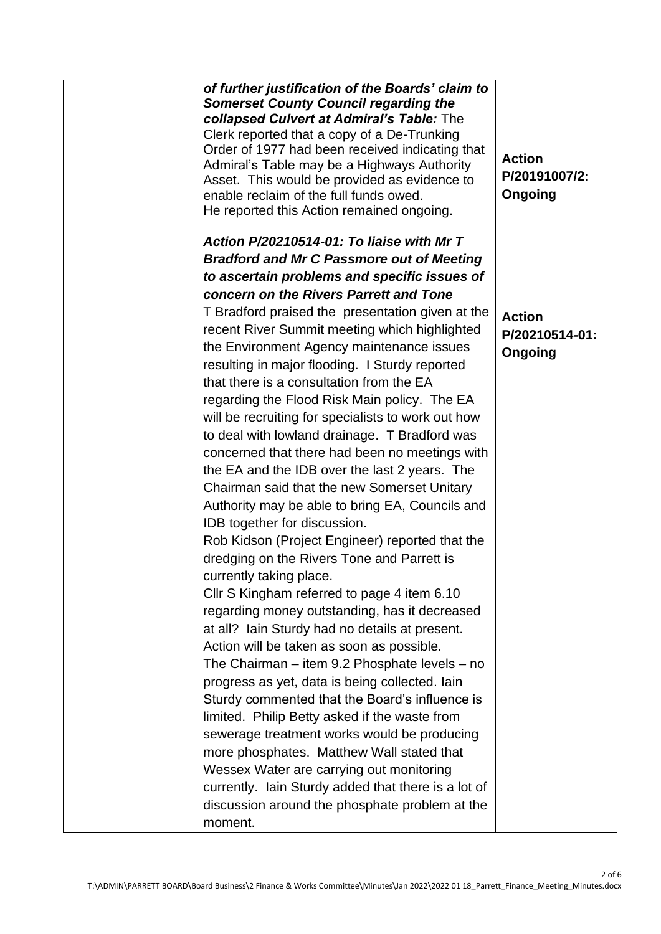| of further justification of the Boards' claim to<br><b>Somerset County Council regarding the</b><br>collapsed Culvert at Admiral's Table: The<br>Clerk reported that a copy of a De-Trunking<br>Order of 1977 had been received indicating that<br>Admiral's Table may be a Highways Authority<br>Asset. This would be provided as evidence to<br>enable reclaim of the full funds owed.<br>He reported this Action remained ongoing. | <b>Action</b><br>P/20191007/2:<br>Ongoing |
|---------------------------------------------------------------------------------------------------------------------------------------------------------------------------------------------------------------------------------------------------------------------------------------------------------------------------------------------------------------------------------------------------------------------------------------|-------------------------------------------|
| Action P/20210514-01: To liaise with Mr T                                                                                                                                                                                                                                                                                                                                                                                             |                                           |
| <b>Bradford and Mr C Passmore out of Meeting</b>                                                                                                                                                                                                                                                                                                                                                                                      |                                           |
| to ascertain problems and specific issues of                                                                                                                                                                                                                                                                                                                                                                                          |                                           |
| concern on the Rivers Parrett and Tone                                                                                                                                                                                                                                                                                                                                                                                                |                                           |
| T Bradford praised the presentation given at the                                                                                                                                                                                                                                                                                                                                                                                      |                                           |
| recent River Summit meeting which highlighted                                                                                                                                                                                                                                                                                                                                                                                         | <b>Action</b>                             |
| the Environment Agency maintenance issues                                                                                                                                                                                                                                                                                                                                                                                             | P/20210514-01:                            |
| resulting in major flooding. I Sturdy reported                                                                                                                                                                                                                                                                                                                                                                                        | Ongoing                                   |
| that there is a consultation from the EA                                                                                                                                                                                                                                                                                                                                                                                              |                                           |
| regarding the Flood Risk Main policy. The EA                                                                                                                                                                                                                                                                                                                                                                                          |                                           |
| will be recruiting for specialists to work out how                                                                                                                                                                                                                                                                                                                                                                                    |                                           |
| to deal with lowland drainage. T Bradford was                                                                                                                                                                                                                                                                                                                                                                                         |                                           |
| concerned that there had been no meetings with                                                                                                                                                                                                                                                                                                                                                                                        |                                           |
| the EA and the IDB over the last 2 years. The                                                                                                                                                                                                                                                                                                                                                                                         |                                           |
| Chairman said that the new Somerset Unitary                                                                                                                                                                                                                                                                                                                                                                                           |                                           |
| Authority may be able to bring EA, Councils and                                                                                                                                                                                                                                                                                                                                                                                       |                                           |
| IDB together for discussion.                                                                                                                                                                                                                                                                                                                                                                                                          |                                           |
| Rob Kidson (Project Engineer) reported that the                                                                                                                                                                                                                                                                                                                                                                                       |                                           |
| dredging on the Rivers Tone and Parrett is                                                                                                                                                                                                                                                                                                                                                                                            |                                           |
| currently taking place.                                                                                                                                                                                                                                                                                                                                                                                                               |                                           |
| Cllr S Kingham referred to page 4 item 6.10                                                                                                                                                                                                                                                                                                                                                                                           |                                           |
| regarding money outstanding, has it decreased                                                                                                                                                                                                                                                                                                                                                                                         |                                           |
| at all? Iain Sturdy had no details at present.                                                                                                                                                                                                                                                                                                                                                                                        |                                           |
| Action will be taken as soon as possible.                                                                                                                                                                                                                                                                                                                                                                                             |                                           |
| The Chairman – item 9.2 Phosphate levels – no                                                                                                                                                                                                                                                                                                                                                                                         |                                           |
| progress as yet, data is being collected. Iain                                                                                                                                                                                                                                                                                                                                                                                        |                                           |
| Sturdy commented that the Board's influence is                                                                                                                                                                                                                                                                                                                                                                                        |                                           |
| limited. Philip Betty asked if the waste from                                                                                                                                                                                                                                                                                                                                                                                         |                                           |
| sewerage treatment works would be producing                                                                                                                                                                                                                                                                                                                                                                                           |                                           |
| more phosphates. Matthew Wall stated that                                                                                                                                                                                                                                                                                                                                                                                             |                                           |
| Wessex Water are carrying out monitoring                                                                                                                                                                                                                                                                                                                                                                                              |                                           |
| currently. Iain Sturdy added that there is a lot of                                                                                                                                                                                                                                                                                                                                                                                   |                                           |
| discussion around the phosphate problem at the                                                                                                                                                                                                                                                                                                                                                                                        |                                           |
| moment.                                                                                                                                                                                                                                                                                                                                                                                                                               |                                           |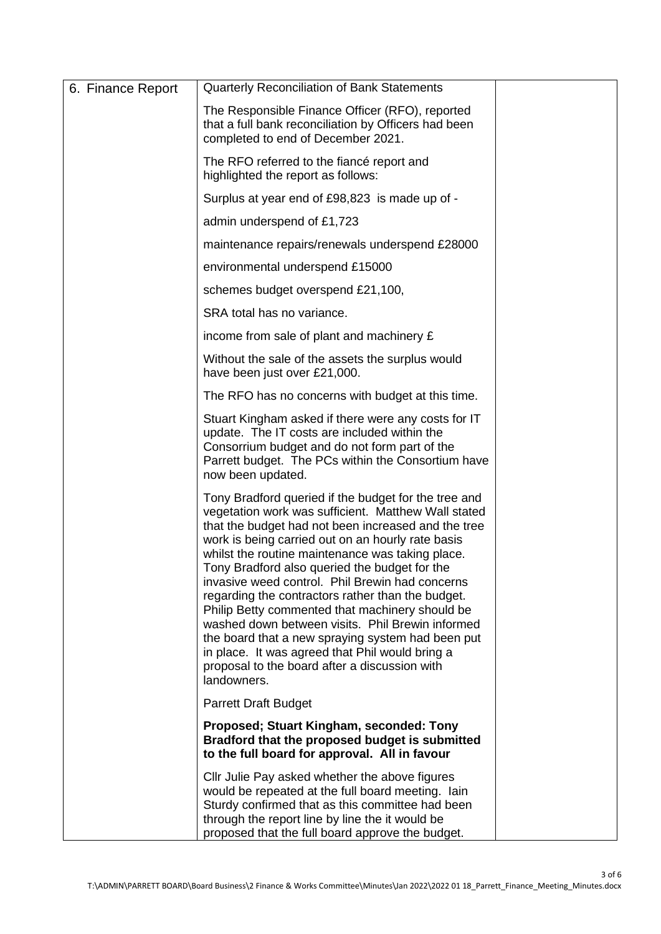| 6. Finance Report | <b>Quarterly Reconciliation of Bank Statements</b>                                                                                                                                                                                                                                                                                                                                                                                                                                                                                                                                                                                                                                                                  |  |
|-------------------|---------------------------------------------------------------------------------------------------------------------------------------------------------------------------------------------------------------------------------------------------------------------------------------------------------------------------------------------------------------------------------------------------------------------------------------------------------------------------------------------------------------------------------------------------------------------------------------------------------------------------------------------------------------------------------------------------------------------|--|
|                   | The Responsible Finance Officer (RFO), reported<br>that a full bank reconciliation by Officers had been<br>completed to end of December 2021.                                                                                                                                                                                                                                                                                                                                                                                                                                                                                                                                                                       |  |
|                   | The RFO referred to the fiancé report and<br>highlighted the report as follows:                                                                                                                                                                                                                                                                                                                                                                                                                                                                                                                                                                                                                                     |  |
|                   | Surplus at year end of £98,823 is made up of -                                                                                                                                                                                                                                                                                                                                                                                                                                                                                                                                                                                                                                                                      |  |
|                   | admin underspend of £1,723                                                                                                                                                                                                                                                                                                                                                                                                                                                                                                                                                                                                                                                                                          |  |
|                   | maintenance repairs/renewals underspend £28000                                                                                                                                                                                                                                                                                                                                                                                                                                                                                                                                                                                                                                                                      |  |
|                   | environmental underspend £15000                                                                                                                                                                                                                                                                                                                                                                                                                                                                                                                                                                                                                                                                                     |  |
|                   | schemes budget overspend £21,100,                                                                                                                                                                                                                                                                                                                                                                                                                                                                                                                                                                                                                                                                                   |  |
|                   | SRA total has no variance.                                                                                                                                                                                                                                                                                                                                                                                                                                                                                                                                                                                                                                                                                          |  |
|                   | income from sale of plant and machinery £                                                                                                                                                                                                                                                                                                                                                                                                                                                                                                                                                                                                                                                                           |  |
|                   | Without the sale of the assets the surplus would<br>have been just over £21,000.                                                                                                                                                                                                                                                                                                                                                                                                                                                                                                                                                                                                                                    |  |
|                   | The RFO has no concerns with budget at this time.                                                                                                                                                                                                                                                                                                                                                                                                                                                                                                                                                                                                                                                                   |  |
|                   | Stuart Kingham asked if there were any costs for IT<br>update. The IT costs are included within the<br>Consorrium budget and do not form part of the<br>Parrett budget. The PCs within the Consortium have<br>now been updated.                                                                                                                                                                                                                                                                                                                                                                                                                                                                                     |  |
|                   | Tony Bradford queried if the budget for the tree and<br>vegetation work was sufficient. Matthew Wall stated<br>that the budget had not been increased and the tree<br>work is being carried out on an hourly rate basis<br>whilst the routine maintenance was taking place.<br>Tony Bradford also queried the budget for the<br>invasive weed control. Phil Brewin had concerns<br>regarding the contractors rather than the budget.<br>Philip Betty commented that machinery should be<br>washed down between visits. Phil Brewin informed<br>the board that a new spraying system had been put<br>in place. It was agreed that Phil would bring a<br>proposal to the board after a discussion with<br>landowners. |  |
|                   | <b>Parrett Draft Budget</b>                                                                                                                                                                                                                                                                                                                                                                                                                                                                                                                                                                                                                                                                                         |  |
|                   | Proposed; Stuart Kingham, seconded: Tony<br>Bradford that the proposed budget is submitted<br>to the full board for approval. All in favour                                                                                                                                                                                                                                                                                                                                                                                                                                                                                                                                                                         |  |
|                   | Cllr Julie Pay asked whether the above figures<br>would be repeated at the full board meeting. Iain<br>Sturdy confirmed that as this committee had been<br>through the report line by line the it would be<br>proposed that the full board approve the budget.                                                                                                                                                                                                                                                                                                                                                                                                                                                      |  |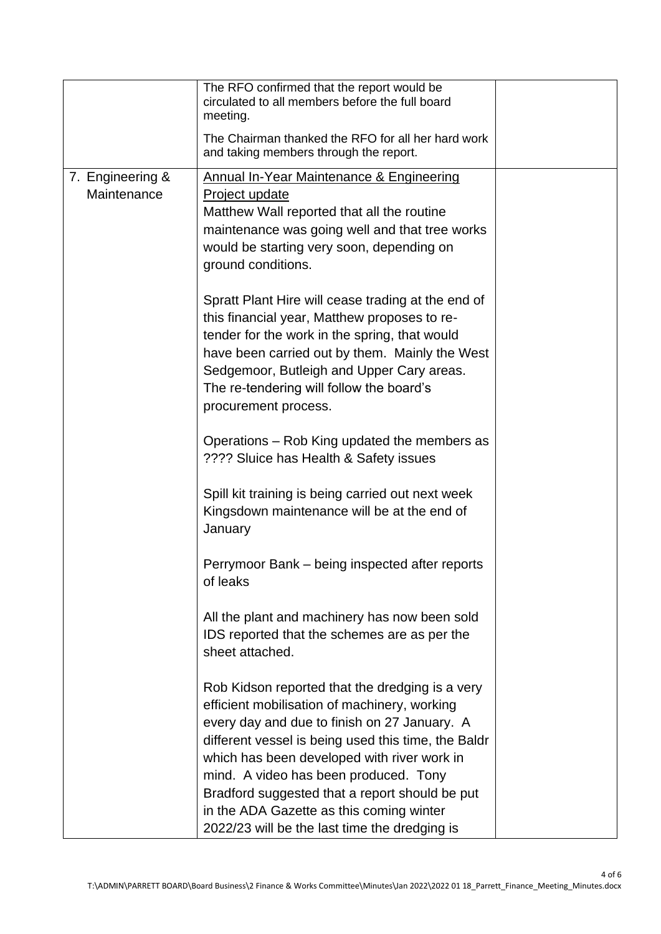|                                 | The RFO confirmed that the report would be<br>circulated to all members before the full board<br>meeting.                                                                                                                                                                                                                                                                                                                                     |  |
|---------------------------------|-----------------------------------------------------------------------------------------------------------------------------------------------------------------------------------------------------------------------------------------------------------------------------------------------------------------------------------------------------------------------------------------------------------------------------------------------|--|
|                                 | The Chairman thanked the RFO for all her hard work<br>and taking members through the report.                                                                                                                                                                                                                                                                                                                                                  |  |
| 7. Engineering &<br>Maintenance | Annual In-Year Maintenance & Engineering<br>Project update<br>Matthew Wall reported that all the routine<br>maintenance was going well and that tree works<br>would be starting very soon, depending on<br>ground conditions.                                                                                                                                                                                                                 |  |
|                                 | Spratt Plant Hire will cease trading at the end of<br>this financial year, Matthew proposes to re-<br>tender for the work in the spring, that would<br>have been carried out by them. Mainly the West<br>Sedgemoor, Butleigh and Upper Cary areas.<br>The re-tendering will follow the board's<br>procurement process.                                                                                                                        |  |
|                                 | Operations – Rob King updated the members as<br>???? Sluice has Health & Safety issues                                                                                                                                                                                                                                                                                                                                                        |  |
|                                 | Spill kit training is being carried out next week<br>Kingsdown maintenance will be at the end of<br>January                                                                                                                                                                                                                                                                                                                                   |  |
|                                 | Perrymoor Bank – being inspected after reports<br>of leaks                                                                                                                                                                                                                                                                                                                                                                                    |  |
|                                 | All the plant and machinery has now been sold<br>IDS reported that the schemes are as per the<br>sheet attached.                                                                                                                                                                                                                                                                                                                              |  |
|                                 | Rob Kidson reported that the dredging is a very<br>efficient mobilisation of machinery, working<br>every day and due to finish on 27 January. A<br>different vessel is being used this time, the Baldr<br>which has been developed with river work in<br>mind. A video has been produced. Tony<br>Bradford suggested that a report should be put<br>in the ADA Gazette as this coming winter<br>2022/23 will be the last time the dredging is |  |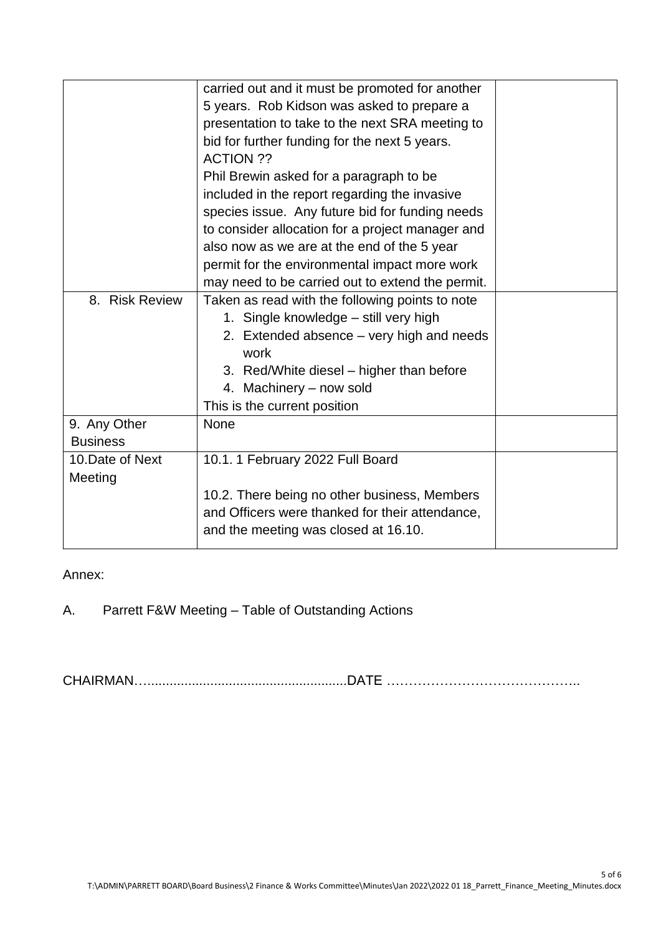|                  | carried out and it must be promoted for another  |  |
|------------------|--------------------------------------------------|--|
|                  | 5 years. Rob Kidson was asked to prepare a       |  |
|                  | presentation to take to the next SRA meeting to  |  |
|                  | bid for further funding for the next 5 years.    |  |
|                  | <b>ACTION ??</b>                                 |  |
|                  | Phil Brewin asked for a paragraph to be          |  |
|                  | included in the report regarding the invasive    |  |
|                  | species issue. Any future bid for funding needs  |  |
|                  | to consider allocation for a project manager and |  |
|                  | also now as we are at the end of the 5 year      |  |
|                  | permit for the environmental impact more work    |  |
|                  | may need to be carried out to extend the permit. |  |
| 8. Risk Review   | Taken as read with the following points to note  |  |
|                  | 1. Single knowledge - still very high            |  |
|                  | 2. Extended absence – very high and needs        |  |
|                  | work                                             |  |
|                  | 3. Red/White diesel – higher than before         |  |
|                  | 4. Machinery - now sold                          |  |
|                  | This is the current position                     |  |
| 9. Any Other     | None                                             |  |
| <b>Business</b>  |                                                  |  |
| 10. Date of Next | 10.1. 1 February 2022 Full Board                 |  |
| Meeting          |                                                  |  |
|                  | 10.2. There being no other business, Members     |  |
|                  | and Officers were thanked for their attendance,  |  |
|                  | and the meeting was closed at 16.10.             |  |
|                  |                                                  |  |

## Annex:

A. Parrett F&W Meeting – Table of Outstanding Actions

CHAIRMAN…......................................................DATE ……………………………………..